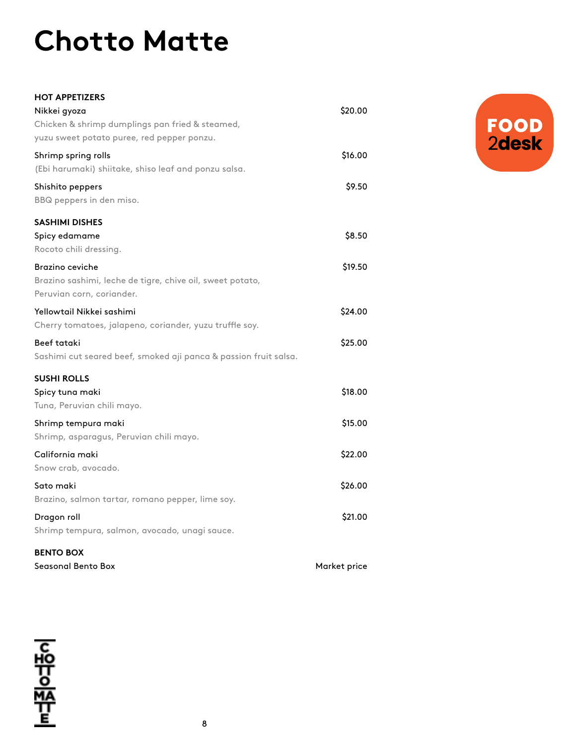## **Chotto Matte**

| <b>HOT APPETIZERS</b>                                            |              |
|------------------------------------------------------------------|--------------|
| Nikkei gyoza                                                     | \$20.00      |
| Chicken & shrimp dumplings pan fried & steamed,                  |              |
| yuzu sweet potato puree, red pepper ponzu.                       |              |
| Shrimp spring rolls                                              | \$16.00      |
| (Ebi harumaki) shiitake, shiso leaf and ponzu salsa.             |              |
| Shishito peppers                                                 | \$9.50       |
| BBQ peppers in den miso.                                         |              |
| <b>SASHIMI DISHES</b>                                            |              |
| Spicy edamame                                                    | \$8.50       |
| Rocoto chili dressing.                                           |              |
| Brazino ceviche                                                  | \$19.50      |
| Brazino sashimi, leche de tigre, chive oil, sweet potato,        |              |
| Peruvian corn, coriander.                                        |              |
| Yellowtail Nikkei sashimi                                        | \$24.00      |
| Cherry tomatoes, jalapeno, coriander, yuzu truffle soy.          |              |
| Beef tataki                                                      | \$25.00      |
| Sashimi cut seared beef, smoked aji panca & passion fruit salsa. |              |
| <b>SUSHI ROLLS</b>                                               |              |
| Spicy tuna maki                                                  | \$18.00      |
| Tuna, Peruvian chili mayo.                                       |              |
| Shrimp tempura maki                                              | \$15.00      |
| Shrimp, asparagus, Peruvian chili mayo.                          |              |
| California maki                                                  | \$22.00      |
| Snow crab, avocado.                                              |              |
| Sato maki                                                        | \$26.00      |
| Brazino, salmon tartar, romano pepper, lime soy.                 |              |
| Dragon roll                                                      | \$21.00      |
| Shrimp tempura, salmon, avocado, unagi sauce.                    |              |
| <b>BENTO BOX</b>                                                 |              |
| Seasonal Bento Box                                               | Market price |